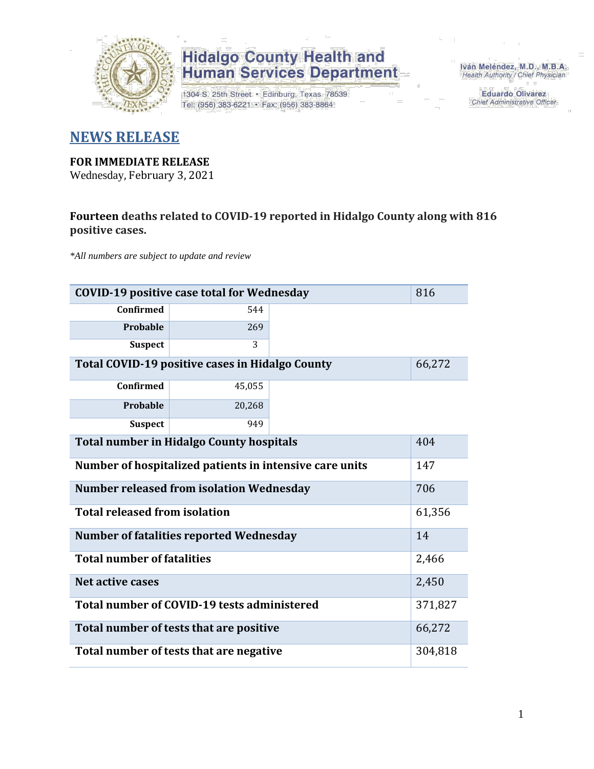

1304 S. 25th Street · Edinburg, Texas 78539 Tel: (956) 383-6221 · Fax: (956) 383-8864

Iván Meléndez, M.D., M.B.A. Health Authority / Chief Physician

> **Eduardo Olivarez** Chief Administrative Officer

#### **NEWS RELEASE**

#### **FOR IMMEDIATE RELEASE**

Wednesday, February 3, 2021

#### **Fourteen deaths related to COVID-19 reported in Hidalgo County along with 816 positive cases.**

*\*All numbers are subject to update and review*

| <b>COVID-19 positive case total for Wednesday</b><br>816         |                                                        |  |        |  |  |  |  |  |  |  |
|------------------------------------------------------------------|--------------------------------------------------------|--|--------|--|--|--|--|--|--|--|
| <b>Confirmed</b>                                                 | 544                                                    |  |        |  |  |  |  |  |  |  |
| Probable                                                         | 269                                                    |  |        |  |  |  |  |  |  |  |
| <b>Suspect</b>                                                   | 3                                                      |  |        |  |  |  |  |  |  |  |
| <b>Total COVID-19 positive cases in Hidalgo County</b><br>66,272 |                                                        |  |        |  |  |  |  |  |  |  |
| <b>Confirmed</b>                                                 |                                                        |  |        |  |  |  |  |  |  |  |
| Probable                                                         | 20,268                                                 |  |        |  |  |  |  |  |  |  |
| 949<br><b>Suspect</b>                                            |                                                        |  |        |  |  |  |  |  |  |  |
| <b>Total number in Hidalgo County hospitals</b><br>404           |                                                        |  |        |  |  |  |  |  |  |  |
| Number of hospitalized patients in intensive care units<br>147   |                                                        |  |        |  |  |  |  |  |  |  |
|                                                                  | <b>Number released from isolation Wednesday</b>        |  | 706    |  |  |  |  |  |  |  |
| <b>Total released from isolation</b>                             |                                                        |  | 61,356 |  |  |  |  |  |  |  |
|                                                                  | <b>Number of fatalities reported Wednesday</b>         |  | 14     |  |  |  |  |  |  |  |
| <b>Total number of fatalities</b>                                |                                                        |  | 2,466  |  |  |  |  |  |  |  |
| Net active cases                                                 |                                                        |  | 2,450  |  |  |  |  |  |  |  |
|                                                                  | Total number of COVID-19 tests administered<br>371,827 |  |        |  |  |  |  |  |  |  |
| 66,272<br>Total number of tests that are positive                |                                                        |  |        |  |  |  |  |  |  |  |
| Total number of tests that are negative                          |                                                        |  |        |  |  |  |  |  |  |  |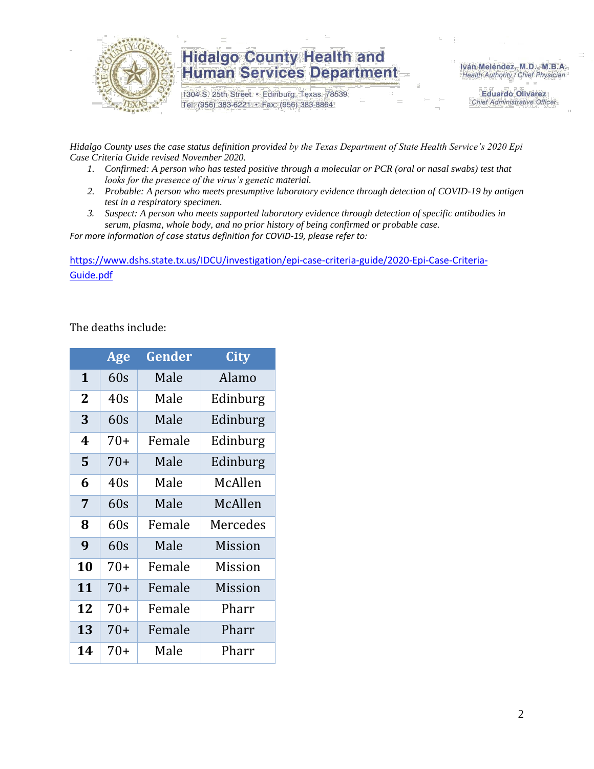

1304 S. 25th Street · Edinburg, Texas 78539 Tel: (956) 383-6221 · Fax: (956) 383-8864

Iván Meléndez, M.D., M.B.A. Health Authority / Chief Physician

> **Eduardo Olivarez** Chief Administrative Officer

*Hidalgo County uses the case status definition provided by the Texas Department of State Health Service's 2020 Epi Case Criteria Guide revised November 2020.*

- *1. Confirmed: A person who has tested positive through a molecular or PCR (oral or nasal swabs) test that looks for the presence of the virus's genetic material.*
- *2. Probable: A person who meets presumptive laboratory evidence through detection of COVID-19 by antigen test in a respiratory specimen.*
- *3. Suspect: A person who meets supported laboratory evidence through detection of specific antibodies in serum, plasma, whole body, and no prior history of being confirmed or probable case.*

*For more information of case status definition for COVID-19, please refer to:*

[https://www.dshs.state.tx.us/IDCU/investigation/epi-case-criteria-guide/2020-Epi-Case-Criteria-](https://www.dshs.state.tx.us/IDCU/investigation/epi-case-criteria-guide/2020-Epi-Case-Criteria-Guide.pdf)[Guide.pdf](https://www.dshs.state.tx.us/IDCU/investigation/epi-case-criteria-guide/2020-Epi-Case-Criteria-Guide.pdf)

The deaths include:

|                | Age   | Gender | City     |
|----------------|-------|--------|----------|
| 1              | 60s   | Male   | Alamo    |
| $\overline{2}$ | 40s   | Male   | Edinburg |
| 3              | 60s   | Male   | Edinburg |
| 4              | $70+$ | Female | Edinburg |
| 5              | $70+$ | Male   | Edinburg |
| 6              | 40s   | Male   | McAllen  |
| 7              | 60s   | Male   | McAllen  |
| 8              | 60s   | Female | Mercedes |
| 9              | 60s   | Male   | Mission  |
| 10             | $70+$ | Female | Mission  |
| 11             | $70+$ | Female | Mission  |
| 12             | $70+$ | Female | Pharr    |
| 13             | $70+$ | Female | Pharr    |
| 14             | $70+$ | Male   | Pharr    |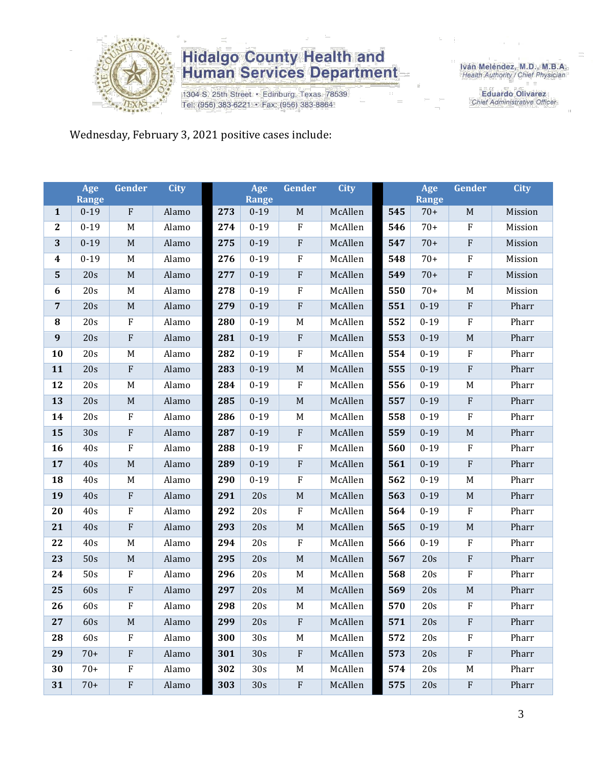

1304 S. 25th Street · Edinburg, Texas 78539 Tel: (956) 383-6221 · Fax: (956) 383-8864

Iván Meléndez, M.D., M.B.A.<br>Health Authority / Chief Physician

**Eduardo Olivarez** Chief Administrative Officer

Wednesday, February 3, 2021 positive cases include:

|                  | Age<br><b>Range</b> | Gender      | <b>City</b> |     | Age<br><b>Range</b> | Gender       | <b>City</b> |     | Age<br><b>Range</b> | Gender      | <b>City</b> |
|------------------|---------------------|-------------|-------------|-----|---------------------|--------------|-------------|-----|---------------------|-------------|-------------|
| $\mathbf{1}$     | $0-19$              | ${\bf F}$   | Alamo       | 273 | $0 - 19$            | $\mathbf M$  | McAllen     | 545 | $70+$               | $\mathbf M$ | Mission     |
| $\boldsymbol{2}$ | $0 - 19$            | M           | Alamo       | 274 | $0 - 19$            | $\rm F$      | McAllen     | 546 | $70+$               | ${\bf F}$   | Mission     |
| 3                | $0 - 19$            | $\mathbf M$ | Alamo       | 275 | $0 - 19$            | $\rm F$      | McAllen     | 547 | $70+$               | $\rm F$     | Mission     |
| $\boldsymbol{4}$ | $0 - 19$            | $\mathbf M$ | Alamo       | 276 | $0 - 19$            | $\rm F$      | McAllen     | 548 | $70+$               | F           | Mission     |
| $\mathbf{5}$     | 20s                 | $\mathbf M$ | Alamo       | 277 | $0 - 19$            | $\rm F$      | McAllen     | 549 | $70+$               | $\rm F$     | Mission     |
| 6                | 20s                 | $\mathbf M$ | Alamo       | 278 | $0 - 19$            | $\rm F$      | McAllen     | 550 | $70+$               | M           | Mission     |
| $\overline{7}$   | 20s                 | $\mathbf M$ | Alamo       | 279 | $0 - 19$            | $\rm F$      | McAllen     | 551 | $0 - 19$            | $\rm F$     | Pharr       |
| ${\bf 8}$        | 20s                 | $\rm F$     | Alamo       | 280 | $0 - 19$            | M            | McAllen     | 552 | $0 - 19$            | $\rm F$     | Pharr       |
| 9                | 20s                 | ${\bf F}$   | Alamo       | 281 | $0 - 19$            | $\rm F$      | McAllen     | 553 | $0 - 19$            | $\mathbf M$ | Pharr       |
| 10               | 20s                 | M           | Alamo       | 282 | $0 - 19$            | $\rm F$      | McAllen     | 554 | $0 - 19$            | $\rm F$     | Pharr       |
| 11               | 20s                 | ${\bf F}$   | Alamo       | 283 | $0 - 19$            | $\mathbf M$  | McAllen     | 555 | $0 - 19$            | ${\bf F}$   | Pharr       |
| 12               | 20s                 | M           | Alamo       | 284 | $0 - 19$            | ${\bf F}$    | McAllen     | 556 | $0 - 19$            | M           | Pharr       |
| 13               | 20s                 | $\mathbf M$ | Alamo       | 285 | $0 - 19$            | $\mathbf M$  | McAllen     | 557 | $0 - 19$            | $\rm F$     | Pharr       |
| 14               | 20s                 | ${\bf F}$   | Alamo       | 286 | $0-19$              | $\mathbf M$  | McAllen     | 558 | $0 - 19$            | ${\bf F}$   | Pharr       |
| 15               | 30s                 | ${\bf F}$   | Alamo       | 287 | $0 - 19$            | $\rm F$      | McAllen     | 559 | $0 - 19$            | $\mathbf M$ | Pharr       |
| 16               | 40s                 | ${\bf F}$   | Alamo       | 288 | $0 - 19$            | $\rm F$      | McAllen     | 560 | $0 - 19$            | F           | Pharr       |
| 17               | 40s                 | $\mathbf M$ | Alamo       | 289 | $0 - 19$            | $\rm F$      | McAllen     | 561 | $0 - 19$            | ${\bf F}$   | Pharr       |
| 18               | 40s                 | M           | Alamo       | 290 | $0 - 19$            | $\rm F$      | McAllen     | 562 | $0 - 19$            | $\mathbf M$ | Pharr       |
| 19               | 40s                 | ${\bf F}$   | Alamo       | 291 | 20s                 | $\mathbf M$  | McAllen     | 563 | $0 - 19$            | $\mathbf M$ | Pharr       |
| 20               | 40s                 | ${\bf F}$   | Alamo       | 292 | 20s                 | ${\bf F}$    | McAllen     | 564 | $0 - 19$            | ${\bf F}$   | Pharr       |
| 21               | 40s                 | ${\bf F}$   | Alamo       | 293 | 20s                 | $\mathbf M$  | McAllen     | 565 | $0 - 19$            | $\mathbf M$ | Pharr       |
| 22               | 40s                 | M           | Alamo       | 294 | 20s                 | $\rm F$      | McAllen     | 566 | $0 - 19$            | $\rm F$     | Pharr       |
| 23               | 50s                 | $\mathbf M$ | Alamo       | 295 | 20s                 | $\mathbf M$  | McAllen     | 567 | 20s                 | ${\bf F}$   | Pharr       |
| 24               | 50s                 | ${\bf F}$   | Alamo       | 296 | 20s                 | M            | McAllen     | 568 | 20s                 | F           | Pharr       |
| 25               | 60s                 | ${\bf F}$   | Alamo       | 297 | 20s                 | $\mathbf M$  | McAllen     | 569 | 20s                 | $\mathbf M$ | Pharr       |
| 26               | 60s                 | ${\bf F}$   | Alamo       | 298 | 20s                 | M            | McAllen     | 570 | 20s                 | $\rm F$     | Pharr       |
| 27               | 60s                 | $\mathbf M$ | Alamo       | 299 | 20s                 | ${\bf F}$    | McAllen     | 571 | 20s                 | ${\bf F}$   | Pharr       |
| 28               | 60s                 | ${\bf F}$   | Alamo       | 300 | 30s                 | $M_{\odot}$  | McAllen     | 572 | 20s                 | F           | Pharr       |
| 29               | $70+$               | ${\rm F}$   | Alamo       | 301 | 30s                 | $\mathbf{F}$ | McAllen     | 573 | 20s                 | $\rm F$     | Pharr       |
| 30               | $70+$               | ${\bf F}$   | Alamo       | 302 | 30s                 | $M_{\odot}$  | McAllen     | 574 | 20s                 | M           | Pharr       |
| 31               | $70+$               | ${\bf F}$   | Alamo       | 303 | 30s                 | $\rm F$      | McAllen     | 575 | 20s                 | $\rm F$     | Pharr       |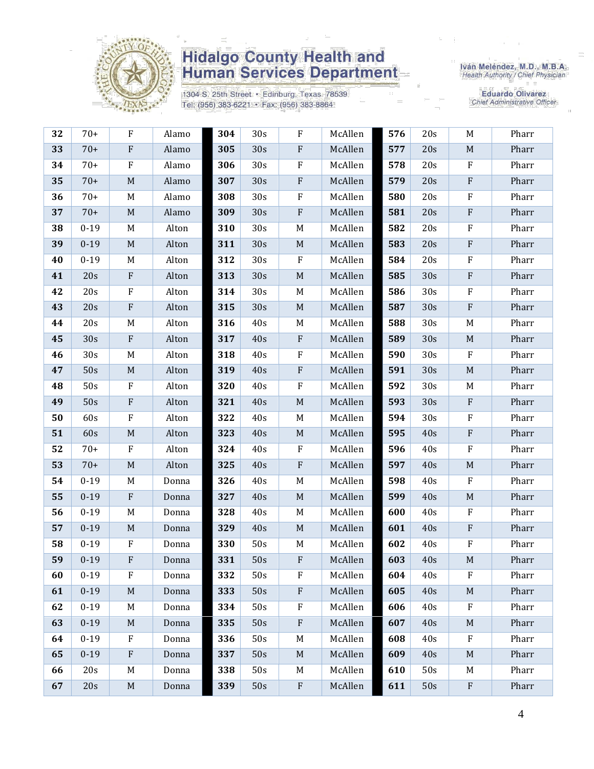

1304 S. 25th Street · Edinburg, Texas 78539 Tel: (956) 383-6221 · Fax: (956) 383-8864

Iván Meléndez, M.D., M.B.A.<br>Health Authority / Chief Physician

| 32 | $70+$    | ${\bf F}$                 | Alamo | 304 | 30s             | F                         | McAllen | 576 | 20s | M                         | Pharr |
|----|----------|---------------------------|-------|-----|-----------------|---------------------------|---------|-----|-----|---------------------------|-------|
| 33 | $70+$    | $\boldsymbol{\mathrm{F}}$ | Alamo | 305 | 30s             | ${\bf F}$                 | McAllen | 577 | 20s | $\mathbf M$               | Pharr |
| 34 | $70+$    | ${\bf F}$                 | Alamo | 306 | 30s             | $\rm F$                   | McAllen | 578 | 20s | ${\bf F}$                 | Pharr |
| 35 | $70+$    | $\mathbf M$               | Alamo | 307 | 30s             | ${\bf F}$                 | McAllen | 579 | 20s | ${\bf F}$                 | Pharr |
| 36 | $70+$    | M                         | Alamo | 308 | 30 <sub>s</sub> | ${\bf F}$                 | McAllen | 580 | 20s | ${\bf F}$                 | Pharr |
| 37 | $70+$    | $\mathbf M$               | Alamo | 309 | 30s             | ${\bf F}$                 | McAllen | 581 | 20s | ${\bf F}$                 | Pharr |
| 38 | $0 - 19$ | M                         | Alton | 310 | 30 <sub>s</sub> | M                         | McAllen | 582 | 20s | ${\bf F}$                 | Pharr |
| 39 | $0 - 19$ | $\mathbf M$               | Alton | 311 | 30s             | $\mathbf M$               | McAllen | 583 | 20s | $\rm F$                   | Pharr |
| 40 | $0 - 19$ | M                         | Alton | 312 | 30 <sub>s</sub> | ${\bf F}$                 | McAllen | 584 | 20s | ${\bf F}$                 | Pharr |
| 41 | 20s      | $\boldsymbol{\mathrm{F}}$ | Alton | 313 | 30s             | $\mathbf M$               | McAllen | 585 | 30s | ${\bf F}$                 | Pharr |
| 42 | 20s      | $\boldsymbol{\mathrm{F}}$ | Alton | 314 | 30s             | M                         | McAllen | 586 | 30s | $\rm F$                   | Pharr |
| 43 | 20s      | ${\bf F}$                 | Alton | 315 | 30s             | $\mathbf M$               | McAllen | 587 | 30s | ${\bf F}$                 | Pharr |
| 44 | 20s      | M                         | Alton | 316 | 40s             | M                         | McAllen | 588 | 30s | M                         | Pharr |
| 45 | 30s      | ${\bf F}$                 | Alton | 317 | 40s             | $\boldsymbol{\mathrm{F}}$ | McAllen | 589 | 30s | $\mathbf M$               | Pharr |
| 46 | 30s      | M                         | Alton | 318 | 40s             | ${\bf F}$                 | McAllen | 590 | 30s | ${\bf F}$                 | Pharr |
| 47 | 50s      | $\mathbf M$               | Alton | 319 | 40s             | ${\bf F}$                 | McAllen | 591 | 30s | $\mathbf M$               | Pharr |
| 48 | 50s      | F                         | Alton | 320 | 40s             | $\rm F$                   | McAllen | 592 | 30s | M                         | Pharr |
| 49 | 50s      | ${\bf F}$                 | Alton | 321 | 40s             | $\mathbf M$               | McAllen | 593 | 30s | ${\bf F}$                 | Pharr |
| 50 | 60s      | ${\bf F}$                 | Alton | 322 | 40s             | M                         | McAllen | 594 | 30s | $\mathbf F$               | Pharr |
| 51 | 60s      | $\mathbf M$               | Alton | 323 | 40s             | $\mathbf M$               | McAllen | 595 | 40s | ${\bf F}$                 | Pharr |
| 52 | $70+$    | F                         | Alton | 324 | 40s             | F                         | McAllen | 596 | 40s | $\rm F$                   | Pharr |
| 53 | $70+$    | $\mathbf M$               | Alton | 325 | 40s             | ${\bf F}$                 | McAllen | 597 | 40s | $\mathbf M$               | Pharr |
| 54 | $0 - 19$ | M                         | Donna | 326 | 40s             | M                         | McAllen | 598 | 40s | $\rm F$                   | Pharr |
| 55 | $0 - 19$ | $\boldsymbol{\mathrm{F}}$ | Donna | 327 | 40s             | $\mathbf M$               | McAllen | 599 | 40s | $\mathbf M$               | Pharr |
| 56 | $0 - 19$ | M                         | Donna | 328 | 40s             | M                         | McAllen | 600 | 40s | $\mathbf F$               | Pharr |
| 57 | $0 - 19$ | $\mathbf M$               | Donna | 329 | 40s             | $\mathbf M$               | McAllen | 601 | 40s | $\boldsymbol{\mathrm{F}}$ | Pharr |
| 58 | $0 - 19$ | ${\bf F}$                 | Donna | 330 | 50s             | M                         | McAllen | 602 | 40s | ${\bf F}$                 | Pharr |
| 59 | $0 - 19$ | ${\bf F}$                 | Donna | 331 | 50s             | ${\bf F}$                 | McAllen | 603 | 40s | $\mathbf M$               | Pharr |
| 60 | $0 - 19$ | $_{\rm F}$                | Donna | 332 | 50s             | $\mathbf F$               | McAllen | 604 | 40s | F                         | Pharr |
| 61 | $0 - 19$ | M                         | Donna | 333 | 50s             | ${\bf F}$                 | McAllen | 605 | 40s | M                         | Pharr |
| 62 | $0 - 19$ | M                         | Donna | 334 | 50s             | ${\bf F}$                 | McAllen | 606 | 40s | $\mathbf F$               | Pharr |
| 63 | $0 - 19$ | M                         | Donna | 335 | 50s             | ${\bf F}$                 | McAllen | 607 | 40s | M                         | Pharr |
| 64 | $0 - 19$ | $\rm F$                   | Donna | 336 | 50s             | M                         | McAllen | 608 | 40s | ${\bf F}$                 | Pharr |
| 65 | $0 - 19$ | $\boldsymbol{\mathrm{F}}$ | Donna | 337 | 50s             | $\mathbf M$               | McAllen | 609 | 40s | M                         | Pharr |
| 66 | 20s      | M                         | Donna | 338 | 50s             | M                         | McAllen | 610 | 50s | M                         | Pharr |
| 67 | 20s      | $\mathbf M$               | Donna | 339 | 50s             | ${\bf F}$                 | McAllen | 611 | 50s | ${\bf F}$                 | Pharr |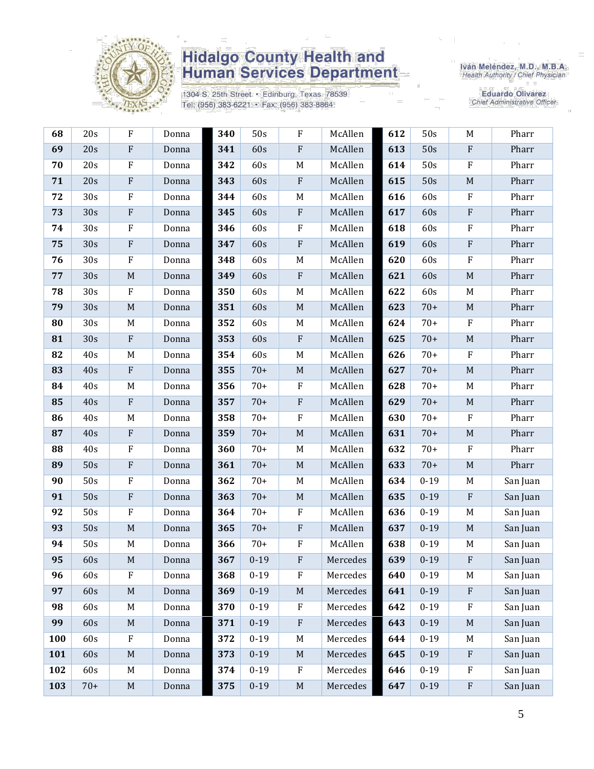

1304 S. 25th Street · Edinburg, Texas 78539 Tel: (956) 383-6221 · Fax: (956) 383-8864

Iván Meléndez, M.D., M.B.A.<br>Health Authority / Chief Physician

| 68  | 20s   | $\rm F$     | Donna | 340 | 50s      | ${\bf F}$                 | McAllen  | 612 | 50s      | M                         | Pharr    |
|-----|-------|-------------|-------|-----|----------|---------------------------|----------|-----|----------|---------------------------|----------|
| 69  | 20s   | ${\bf F}$   | Donna | 341 | 60s      | $\rm F$                   | McAllen  | 613 | 50s      | $\rm F$                   | Pharr    |
| 70  | 20s   | $\rm F$     | Donna | 342 | 60s      | M                         | McAllen  | 614 | 50s      | $\rm F$                   | Pharr    |
| 71  | 20s   | $\rm F$     | Donna | 343 | 60s      | $\boldsymbol{\mathrm{F}}$ | McAllen  | 615 | 50s      | $\mathbf M$               | Pharr    |
| 72  | 30s   | $\rm F$     | Donna | 344 | 60s      | $\mathbf M$               | McAllen  | 616 | 60s      | $\mathbf F$               | Pharr    |
| 73  | 30s   | $\rm F$     | Donna | 345 | 60s      | ${\bf F}$                 | McAllen  | 617 | 60s      | $\rm F$                   | Pharr    |
| 74  | 30s   | ${\bf F}$   | Donna | 346 | 60s      | ${\bf F}$                 | McAllen  | 618 | 60s      | $\rm F$                   | Pharr    |
| 75  | 30s   | ${\bf F}$   | Donna | 347 | 60s      | ${\bf F}$                 | McAllen  | 619 | 60s      | $\rm F$                   | Pharr    |
| 76  | 30s   | $\rm F$     | Donna | 348 | 60s      | $\mathbf M$               | McAllen  | 620 | 60s      | $\rm F$                   | Pharr    |
| 77  | 30s   | $\mathbf M$ | Donna | 349 | 60s      | ${\bf F}$                 | McAllen  | 621 | 60s      | $\mathbf M$               | Pharr    |
| 78  | 30s   | $\rm F$     | Donna | 350 | 60s      | $M_{\rm}$                 | McAllen  | 622 | 60s      | M                         | Pharr    |
| 79  | 30s   | $\mathbf M$ | Donna | 351 | 60s      | $\mathbf M$               | McAllen  | 623 | $70+$    | $\mathbf M$               | Pharr    |
| 80  | 30s   | M           | Donna | 352 | 60s      | M                         | McAllen  | 624 | $70+$    | $\mathbf{F}$              | Pharr    |
| 81  | 30s   | $\rm F$     | Donna | 353 | 60s      | ${\bf F}$                 | McAllen  | 625 | $70+$    | $\mathbf M$               | Pharr    |
| 82  | 40s   | $\mathbf M$ | Donna | 354 | 60s      | $\mathbf M$               | McAllen  | 626 | $70+$    | $\rm F$                   | Pharr    |
| 83  | 40s   | ${\bf F}$   | Donna | 355 | $70+$    | $\mathbf M$               | McAllen  | 627 | $70+$    | $\mathbf M$               | Pharr    |
| 84  | 40s   | M           | Donna | 356 | $70+$    | $\rm F$                   | McAllen  | 628 | $70+$    | M                         | Pharr    |
| 85  | 40s   | $\rm F$     | Donna | 357 | $70+$    | ${\bf F}$                 | McAllen  | 629 | $70+$    | $\mathbf M$               | Pharr    |
| 86  | 40s   | M           | Donna | 358 | $70+$    | ${\bf F}$                 | McAllen  | 630 | $70+$    | $\mathbf{F}$              | Pharr    |
| 87  | 40s   | ${\bf F}$   | Donna | 359 | $70+$    | $\mathbf M$               | McAllen  | 631 | $70+$    | $\mathbf M$               | Pharr    |
| 88  | 40s   | $\rm F$     | Donna | 360 | $70+$    | M                         | McAllen  | 632 | $70+$    | $\mathbf{F}$              | Pharr    |
| 89  | 50s   | ${\bf F}$   | Donna | 361 | $70+$    | $\mathbf M$               | McAllen  | 633 | $70+$    | $\mathbf M$               | Pharr    |
| 90  | 50s   | $\rm F$     | Donna | 362 | $70+$    | M                         | McAllen  | 634 | $0 - 19$ | M                         | San Juan |
| 91  | 50s   | $\rm F$     | Donna | 363 | $70+$    | $\mathbf M$               | McAllen  | 635 | $0 - 19$ | $\boldsymbol{\mathrm{F}}$ | San Juan |
| 92  | 50s   | $\rm F$     | Donna | 364 | $70+$    | ${\bf F}$                 | McAllen  | 636 | $0 - 19$ | M                         | San Juan |
| 93  | 50s   | $\mathbf M$ | Donna | 365 | $70+$    | ${\bf F}$                 | McAllen  | 637 | $0 - 19$ | $\mathbf M$               | San Juan |
| 94  | 50s   | M           | Donna | 366 | $70+$    | ${\bf F}$                 | McAllen  | 638 | $0 - 19$ | M                         | San Juan |
| 95  | 60s   | $\mathbf M$ | Donna | 367 | $0 - 19$ | ${\bf F}$                 | Mercedes | 639 | $0 - 19$ | $\rm F$                   | San Juan |
| 96  | 60s   | F           | Donna | 368 | $0 - 19$ | $\rm F$                   | Mercedes | 640 | $0 - 19$ | M                         | San Juan |
| 97  | 60s   | $\mathbf M$ | Donna | 369 | $0 - 19$ | $\mathbf M$               | Mercedes | 641 | $0 - 19$ | $\mathbf{F}$              | San Juan |
| 98  | 60s   | M           | Donna | 370 | $0 - 19$ | ${\bf F}$                 | Mercedes | 642 | $0 - 19$ | $\rm F$                   | San Juan |
| 99  | 60s   | $\mathbf M$ | Donna | 371 | $0 - 19$ | $\rm F$                   | Mercedes | 643 | $0 - 19$ | $\mathbf M$               | San Juan |
| 100 | 60s   | $\rm F$     | Donna | 372 | $0 - 19$ | $\mathbf M$               | Mercedes | 644 | $0 - 19$ | M                         | San Juan |
| 101 | 60s   | $\mathbf M$ | Donna | 373 | $0 - 19$ | $\mathbf M$               | Mercedes | 645 | $0 - 19$ | $\boldsymbol{\mathrm{F}}$ | San Juan |
| 102 | 60s   | M           | Donna | 374 | $0 - 19$ | F                         | Mercedes | 646 | $0 - 19$ | $\mathbf{F}$              | San Juan |
| 103 | $70+$ | $\mathbf M$ | Donna | 375 | $0 - 19$ | $\mathbf M$               | Mercedes | 647 | $0 - 19$ | ${\bf F}$                 | San Juan |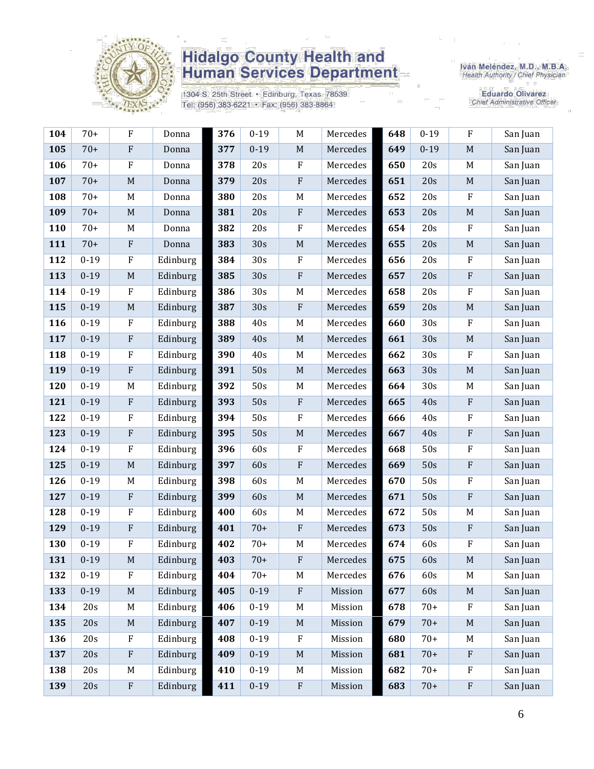

1304 S. 25th Street · Edinburg, Texas 78539 Tel: (956) 383-6221 · Fax: (956) 383-8864

Iván Meléndez, M.D., M.B.A.<br>Health Authority / Chief Physician

| 104 | $70+$    | $\rm F$                   | Donna    | 376 | $0 - 19$ | $\mathbf M$ | Mercedes | 648 | $0 - 19$ | $\mathbf F$               | San Juan |
|-----|----------|---------------------------|----------|-----|----------|-------------|----------|-----|----------|---------------------------|----------|
| 105 | $70+$    | $\rm F$                   | Donna    | 377 | $0 - 19$ | $\mathbf M$ | Mercedes | 649 | $0 - 19$ | $\mathbf M$               | San Juan |
| 106 | $70+$    | $\rm F$                   | Donna    | 378 | 20s      | ${\bf F}$   | Mercedes | 650 | 20s      | M                         | San Juan |
| 107 | $70+$    | $\mathbf M$               | Donna    | 379 | 20s      | ${\bf F}$   | Mercedes | 651 | 20s      | $\mathbf M$               | San Juan |
| 108 | $70+$    | $\mathbf M$               | Donna    | 380 | 20s      | $\mathbf M$ | Mercedes | 652 | 20s      | $\rm F$                   | San Juan |
| 109 | $70+$    | $\mathbf M$               | Donna    | 381 | 20s      | ${\bf F}$   | Mercedes | 653 | 20s      | $\mathbf M$               | San Juan |
| 110 | $70+$    | M                         | Donna    | 382 | 20s      | ${\bf F}$   | Mercedes | 654 | 20s      | ${\bf F}$                 | San Juan |
| 111 | $70+$    | $\boldsymbol{\mathrm{F}}$ | Donna    | 383 | 30s      | $\mathbf M$ | Mercedes | 655 | 20s      | $\mathbf M$               | San Juan |
| 112 | $0 - 19$ | $\rm F$                   | Edinburg | 384 | 30s      | $\rm F$     | Mercedes | 656 | 20s      | $\rm F$                   | San Juan |
| 113 | $0 - 19$ | M                         | Edinburg | 385 | 30s      | ${\bf F}$   | Mercedes | 657 | 20s      | $\boldsymbol{\mathrm{F}}$ | San Juan |
| 114 | $0 - 19$ | $\rm F$                   | Edinburg | 386 | 30s      | $\mathbf M$ | Mercedes | 658 | 20s      | ${\bf F}$                 | San Juan |
| 115 | $0 - 19$ | $\mathbf M$               | Edinburg | 387 | 30s      | ${\bf F}$   | Mercedes | 659 | 20s      | $\mathbf M$               | San Juan |
| 116 | $0 - 19$ | $\mathbf F$               | Edinburg | 388 | 40s      | $\mathbf M$ | Mercedes | 660 | 30s      | ${\bf F}$                 | San Juan |
| 117 | $0 - 19$ | ${\bf F}$                 | Edinburg | 389 | 40s      | $\mathbf M$ | Mercedes | 661 | 30s      | $\mathbf M$               | San Juan |
| 118 | $0 - 19$ | $\rm F$                   | Edinburg | 390 | 40s      | $\mathbf M$ | Mercedes | 662 | 30s      | $\rm F$                   | San Juan |
| 119 | $0 - 19$ | ${\bf F}$                 | Edinburg | 391 | 50s      | $\mathbf M$ | Mercedes | 663 | 30s      | $\mathbf M$               | San Juan |
| 120 | $0 - 19$ | M                         | Edinburg | 392 | 50s      | M           | Mercedes | 664 | 30s      | M                         | San Juan |
| 121 | $0 - 19$ | ${\bf F}$                 | Edinburg | 393 | 50s      | ${\bf F}$   | Mercedes | 665 | 40s      | $\, {\bf F}$              | San Juan |
| 122 | $0 - 19$ | $\rm F$                   | Edinburg | 394 | 50s      | $\rm F$     | Mercedes | 666 | 40s      | $\mathbf F$               | San Juan |
| 123 | $0 - 19$ | ${\bf F}$                 | Edinburg | 395 | 50s      | $\mathbf M$ | Mercedes | 667 | 40s      | ${\bf F}$                 | San Juan |
| 124 | $0 - 19$ | $\mathbf F$               | Edinburg | 396 | 60s      | ${\bf F}$   | Mercedes | 668 | 50s      | $\rm F$                   | San Juan |
| 125 | $0 - 19$ | $\mathbf M$               | Edinburg | 397 | 60s      | $\rm F$     | Mercedes | 669 | 50s      | $\boldsymbol{\mathrm{F}}$ | San Juan |
| 126 | $0 - 19$ | M                         | Edinburg | 398 | 60s      | $M_{\odot}$ | Mercedes | 670 | 50s      | ${\bf F}$                 | San Juan |
| 127 | $0 - 19$ | ${\bf F}$                 | Edinburg | 399 | 60s      | $\mathbf M$ | Mercedes | 671 | 50s      | $\rm F$                   | San Juan |
| 128 | $0 - 19$ | $\rm F$                   | Edinburg | 400 | 60s      | $\mathbf M$ | Mercedes | 672 | 50s      | M                         | San Juan |
| 129 | $0 - 19$ | ${\bf F}$                 | Edinburg | 401 | $70+$    | ${\bf F}$   | Mercedes | 673 | 50s      | $\rm F$                   | San Juan |
| 130 | $0 - 19$ | $\mathbf F$               | Edinburg | 402 | $70+$    | M           | Mercedes | 674 | 60s      | $\mathbf F$               | San Juan |
| 131 | $0 - 19$ | $\mathbf M$               | Edinburg | 403 | $70+$    | ${\bf F}$   | Mercedes | 675 | 60s      | $\mathbf M$               | San Juan |
| 132 | $0 - 19$ | $\rm F$                   | Edinburg | 404 | $70+$    | M           | Mercedes | 676 | 60s      | M                         | San Juan |
| 133 | $0 - 19$ | $\mathbf M$               | Edinburg | 405 | $0 - 19$ | ${\bf F}$   | Mission  | 677 | 60s      | $\mathbf M$               | San Juan |
| 134 | 20s      | M                         | Edinburg | 406 | $0-19$   | $\mathbf M$ | Mission  | 678 | $70+$    | $\rm F$                   | San Juan |
| 135 | 20s      | $\mathbf M$               | Edinburg | 407 | $0 - 19$ | $\mathbf M$ | Mission  | 679 | $70+$    | $\mathbf M$               | San Juan |
| 136 | 20s      | $\rm F$                   | Edinburg | 408 | $0 - 19$ | $\rm F$     | Mission  | 680 | $70+$    | M                         | San Juan |
| 137 | 20s      | ${\bf F}$                 | Edinburg | 409 | $0 - 19$ | $\mathbf M$ | Mission  | 681 | $70+$    | $\boldsymbol{\mathrm{F}}$ | San Juan |
| 138 | 20s      | M                         | Edinburg | 410 | $0 - 19$ | M           | Mission  | 682 | $70+$    | $\boldsymbol{\mathrm{F}}$ | San Juan |
| 139 | 20s      | $\boldsymbol{\mathrm{F}}$ | Edinburg | 411 | $0 - 19$ | ${\bf F}$   | Mission  | 683 | $70+$    | $\rm F$                   | San Juan |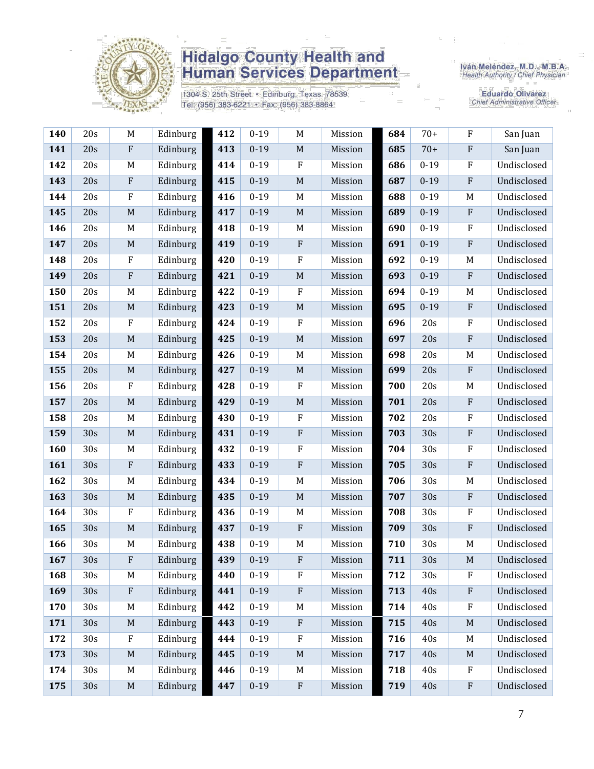

1304 S. 25th Street · Edinburg, Texas 78539 Tel: (956) 383-6221 · Fax: (956) 383-8864

Iván Meléndez, M.D., M.B.A.<br>Health Authority / Chief Physician

| 140 | 20s             | M           | Edinburg | 412 | $0 - 19$ | M                | Mission | 684 | $70+$    | $\rm F$                   | San Juan    |
|-----|-----------------|-------------|----------|-----|----------|------------------|---------|-----|----------|---------------------------|-------------|
| 141 | 20s             | $\rm F$     | Edinburg | 413 | $0 - 19$ | $\mathbf M$      | Mission | 685 | $70+$    | ${\bf F}$                 | San Juan    |
| 142 | 20s             | M           | Edinburg | 414 | $0 - 19$ | $\mathbf{F}$     | Mission | 686 | $0 - 19$ | $\boldsymbol{\mathrm{F}}$ | Undisclosed |
| 143 | 20s             | ${\bf F}$   | Edinburg | 415 | $0 - 19$ | $\mathbf M$      | Mission | 687 | $0 - 19$ | ${\bf F}$                 | Undisclosed |
| 144 | 20s             | $\rm F$     | Edinburg | 416 | $0 - 19$ | $M_{\odot}$      | Mission | 688 | $0 - 19$ | M                         | Undisclosed |
| 145 | 20s             | $\mathbf M$ | Edinburg | 417 | $0 - 19$ | $\mathbf M$      | Mission | 689 | $0 - 19$ | ${\bf F}$                 | Undisclosed |
| 146 | 20s             | M           | Edinburg | 418 | $0 - 19$ | M                | Mission | 690 | $0 - 19$ | $\rm F$                   | Undisclosed |
| 147 | 20s             | $\mathbf M$ | Edinburg | 419 | $0 - 19$ | $\rm F$          | Mission | 691 | $0 - 19$ | ${\bf F}$                 | Undisclosed |
| 148 | 20s             | $\rm F$     | Edinburg | 420 | $0 - 19$ | $\rm F$          | Mission | 692 | $0 - 19$ | M                         | Undisclosed |
| 149 | 20s             | ${\bf F}$   | Edinburg | 421 | $0 - 19$ | $\mathbf M$      | Mission | 693 | $0 - 19$ | $\rm F$                   | Undisclosed |
| 150 | 20s             | M           | Edinburg | 422 | $0 - 19$ | $\rm F$          | Mission | 694 | $0 - 19$ | M                         | Undisclosed |
| 151 | 20s             | $\mathbf M$ | Edinburg | 423 | $0 - 19$ | $\mathbf M$      | Mission | 695 | $0 - 19$ | $\rm F$                   | Undisclosed |
| 152 | 20s             | $\rm F$     | Edinburg | 424 | $0 - 19$ | $\mathbf{F}$     | Mission | 696 | 20s      | $\boldsymbol{\mathrm{F}}$ | Undisclosed |
| 153 | 20s             | M           | Edinburg | 425 | $0 - 19$ | $\mathbf M$      | Mission | 697 | 20s      | ${\bf F}$                 | Undisclosed |
| 154 | 20s             | M           | Edinburg | 426 | $0 - 19$ | $\mathbf M$      | Mission | 698 | 20s      | M                         | Undisclosed |
| 155 | 20s             | $\mathbf M$ | Edinburg | 427 | $0 - 19$ | $\mathbf M$      | Mission | 699 | 20s      | ${\bf F}$                 | Undisclosed |
| 156 | 20s             | ${\bf F}$   | Edinburg | 428 | $0 - 19$ | $\boldsymbol{F}$ | Mission | 700 | 20s      | M                         | Undisclosed |
| 157 | 20s             | $\mathbf M$ | Edinburg | 429 | $0 - 19$ | $\mathbf M$      | Mission | 701 | 20s      | ${\bf F}$                 | Undisclosed |
| 158 | 20s             | M           | Edinburg | 430 | $0 - 19$ | ${\bf F}$        | Mission | 702 | 20s      | ${\bf F}$                 | Undisclosed |
| 159 | 30s             | $\mathbf M$ | Edinburg | 431 | $0 - 19$ | $\rm F$          | Mission | 703 | 30s      | ${\bf F}$                 | Undisclosed |
| 160 | 30s             | M           | Edinburg | 432 | $0 - 19$ | $\boldsymbol{F}$ | Mission | 704 | 30s      | $\boldsymbol{\mathrm{F}}$ | Undisclosed |
| 161 | 30s             | ${\bf F}$   | Edinburg | 433 | $0 - 19$ | $\rm F$          | Mission | 705 | 30s      | ${\bf F}$                 | Undisclosed |
| 162 | 30s             | M           | Edinburg | 434 | $0 - 19$ | M                | Mission | 706 | 30s      | M                         | Undisclosed |
| 163 | 30s             | $\mathbf M$ | Edinburg | 435 | $0 - 19$ | $\mathbf M$      | Mission | 707 | 30s      | $\rm F$                   | Undisclosed |
| 164 | 30s             | $\rm F$     | Edinburg | 436 | $0 - 19$ | $\mathbf M$      | Mission | 708 | 30s      | ${\bf F}$                 | Undisclosed |
| 165 | 30s             | $\mathbf M$ | Edinburg | 437 | $0 - 19$ | $\rm F$          | Mission | 709 | 30s      | ${\bf F}$                 | Undisclosed |
| 166 | 30s             | M           | Edinburg | 438 | $0 - 19$ | M                | Mission | 710 | 30s      | M                         | Undisclosed |
| 167 | 30s             | ${\bf F}$   | Edinburg | 439 | $0 - 19$ | ${\bf F}$        | Mission | 711 | 30s      | M                         | Undisclosed |
| 168 | 30 <sub>s</sub> | M           | Edinburg | 440 | $0 - 19$ | F                | Mission | 712 | 30s      | F                         | Undisclosed |
| 169 | 30s             | $\rm F$     | Edinburg | 441 | $0 - 19$ | $\rm F$          | Mission | 713 | 40s      | ${\bf F}$                 | Undisclosed |
| 170 | 30s             | M           | Edinburg | 442 | $0 - 19$ | M                | Mission | 714 | 40s      | ${\bf F}$                 | Undisclosed |
| 171 | 30s             | M           | Edinburg | 443 | $0 - 19$ | $\rm F$          | Mission | 715 | 40s      | M                         | Undisclosed |
| 172 | 30s             | $\rm F$     | Edinburg | 444 | $0 - 19$ | ${\bf F}$        | Mission | 716 | 40s      | M                         | Undisclosed |
| 173 | 30s             | $\mathbf M$ | Edinburg | 445 | $0 - 19$ | $\mathbf M$      | Mission | 717 | 40s      | $\mathbf M$               | Undisclosed |
| 174 | 30s             | M           | Edinburg | 446 | $0 - 19$ | $\mathbf M$      | Mission | 718 | 40s      | $\boldsymbol{\mathrm{F}}$ | Undisclosed |
| 175 | 30s             | $\mathbf M$ | Edinburg | 447 | $0 - 19$ | ${\bf F}$        | Mission | 719 | 40s      | ${\bf F}$                 | Undisclosed |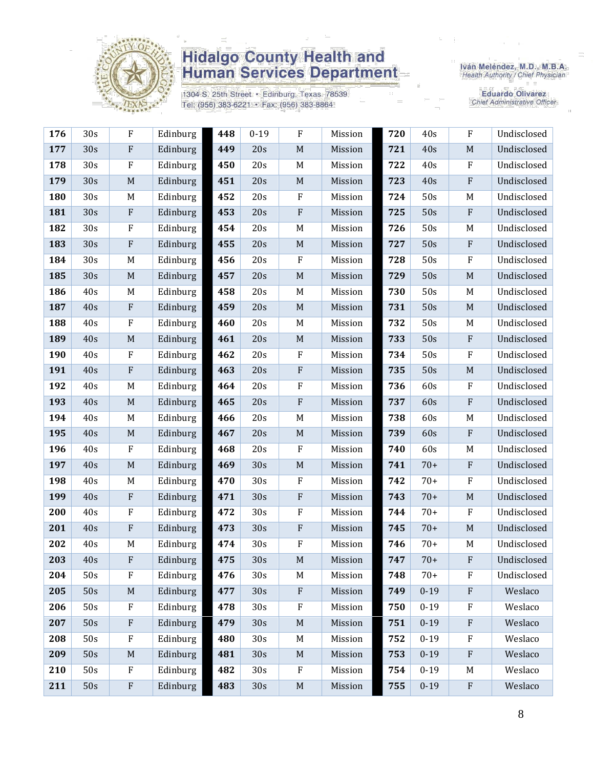

1304 S. 25th Street · Edinburg, Texas 78539 Tel: (956) 383-6221 · Fax: (956) 383-8864

Iván Meléndez, M.D., M.B.A.<br>Health Authority / Chief Physician

| 176 | 30s | $\rm F$                   | Edinburg | 448 | $0 - 19$ | $\rm F$                   | Mission | 720 | 40s      | $\rm F$        | Undisclosed |
|-----|-----|---------------------------|----------|-----|----------|---------------------------|---------|-----|----------|----------------|-------------|
| 177 | 30s | $\rm F$                   | Edinburg | 449 | 20s      | $\mathbf M$               | Mission | 721 | 40s      | $\mathbf M$    | Undisclosed |
| 178 | 30s | F                         | Edinburg | 450 | 20s      | M                         | Mission | 722 | 40s      | $\mathbf{F}$   | Undisclosed |
| 179 | 30s | $\mathbf M$               | Edinburg | 451 | 20s      | $M_{\odot}$               | Mission | 723 | 40s      | $\mathbf F$    | Undisclosed |
| 180 | 30s | M                         | Edinburg | 452 | 20s      | $\rm F$                   | Mission | 724 | 50s      | M              | Undisclosed |
| 181 | 30s | $\rm F$                   | Edinburg | 453 | 20s      | $\rm F$                   | Mission | 725 | 50s      | $\rm F$        | Undisclosed |
| 182 | 30s | $_{\rm F}$                | Edinburg | 454 | 20s      | M                         | Mission | 726 | 50s      | M              | Undisclosed |
| 183 | 30s | $\rm F$                   | Edinburg | 455 | 20s      | $\mathbf M$               | Mission | 727 | 50s      | $\mathbf{F}$   | Undisclosed |
| 184 | 30s | M                         | Edinburg | 456 | 20s      | $\rm F$                   | Mission | 728 | 50s      | $\rm F$        | Undisclosed |
| 185 | 30s | $\mathbf M$               | Edinburg | 457 | 20s      | $\mathbf M$               | Mission | 729 | 50s      | M              | Undisclosed |
| 186 | 40s | M                         | Edinburg | 458 | 20s      | M                         | Mission | 730 | 50s      | M              | Undisclosed |
| 187 | 40s | $\boldsymbol{\mathrm{F}}$ | Edinburg | 459 | 20s      | $\mathbf M$               | Mission | 731 | 50s      | M              | Undisclosed |
| 188 | 40s | $\mathbf F$               | Edinburg | 460 | 20s      | M                         | Mission | 732 | 50s      | M              | Undisclosed |
| 189 | 40s | $\mathbf M$               | Edinburg | 461 | 20s      | $M_{\odot}$               | Mission | 733 | 50s      | $\rm F$        | Undisclosed |
| 190 | 40s | ${\bf F}$                 | Edinburg | 462 | 20s      | $\rm F$                   | Mission | 734 | 50s      | $\rm F$        | Undisclosed |
| 191 | 40s | $\rm F$                   | Edinburg | 463 | 20s      | $\mathbf{F}$              | Mission | 735 | 50s      | $\mathbf M$    | Undisclosed |
| 192 | 40s | M                         | Edinburg | 464 | 20s      | $\boldsymbol{F}$          | Mission | 736 | 60s      | $\mathbf{F}$   | Undisclosed |
| 193 | 40s | M                         | Edinburg | 465 | 20s      | $\rm F$                   | Mission | 737 | 60s      | $\mathbf{F}$   | Undisclosed |
| 194 | 40s | M                         | Edinburg | 466 | 20s      | $\mathbf M$               | Mission | 738 | 60s      | M              | Undisclosed |
| 195 | 40s | $\mathbf M$               | Edinburg | 467 | 20s      | $\mathbf M$               | Mission | 739 | 60s      | $\rm F$        | Undisclosed |
| 196 | 40s | $\rm F$                   | Edinburg | 468 | 20s      | $\boldsymbol{F}$          | Mission | 740 | 60s      | M              | Undisclosed |
| 197 | 40s | $\mathbf M$               | Edinburg | 469 | 30s      | $\mathbf M$               | Mission | 741 | $70+$    | $\mathbf{F}$   | Undisclosed |
| 198 | 40s | M                         | Edinburg | 470 | 30s      | $\rm F$                   | Mission | 742 | $70+$    | $\mathbf{F}$   | Undisclosed |
| 199 | 40s | $\rm F$                   | Edinburg | 471 | 30s      | $\boldsymbol{\mathrm{F}}$ | Mission | 743 | $70+$    | M              | Undisclosed |
| 200 | 40s | ${\bf F}$                 | Edinburg | 472 | 30s      | $\rm F$                   | Mission | 744 | $70+$    | $\mathbf{F}$   | Undisclosed |
| 201 | 40s | ${\bf F}$                 | Edinburg | 473 | 30s      | $\rm F$                   | Mission | 745 | $70+$    | M              | Undisclosed |
| 202 | 40s | M                         | Edinburg | 474 | 30s      | $\rm F$                   | Mission | 746 | $70+$    | M              | Undisclosed |
| 203 | 40s | ${\bf F}$                 | Edinburg | 475 | 30s      | $\mathbf M$               | Mission | 747 | $70+$    | $\overline{F}$ | Undisclosed |
| 204 | 50s | $\rm F$                   | Edinburg | 476 | 30s      | M                         | Mission | 748 | $70+$    | $\mathbf F$    | Undisclosed |
| 205 | 50s | M                         | Edinburg | 477 | 30s      | $\rm F$                   | Mission | 749 | $0 - 19$ | $\rm F$        | Weslaco     |
| 206 | 50s | ${\bf F}$                 | Edinburg | 478 | 30s      | ${\bf F}$                 | Mission | 750 | $0 - 19$ | $\rm F$        | Weslaco     |
| 207 | 50s | $\rm F$                   | Edinburg | 479 | 30s      | $\mathbf M$               | Mission | 751 | $0 - 19$ | $\rm F$        | Weslaco     |
| 208 | 50s | $\rm F$                   | Edinburg | 480 | 30s      | $M_{\odot}$               | Mission | 752 | $0 - 19$ | $\mathbf F$    | Weslaco     |
| 209 | 50s | $\mathbf M$               | Edinburg | 481 | 30s      | $\mathbf M$               | Mission | 753 | $0 - 19$ | $\mathbf{F}$   | Weslaco     |
| 210 | 50s | $\rm F$                   | Edinburg | 482 | 30s      | $\rm F$                   | Mission | 754 | $0 - 19$ | M              | Weslaco     |
| 211 | 50s | $\boldsymbol{\mathrm{F}}$ | Edinburg | 483 | 30s      | $\mathbf M$               | Mission | 755 | $0 - 19$ | $\rm F$        | Weslaco     |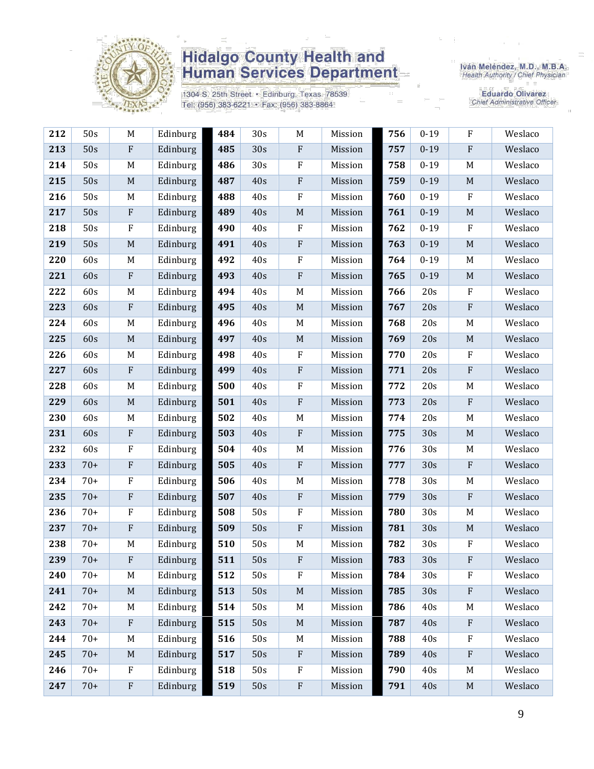

1304 S. 25th Street · Edinburg, Texas 78539 Tel: (956) 383-6221 · Fax: (956) 383-8864

Iván Meléndez, M.D., M.B.A.<br>Health Authority / Chief Physician

| 212 | 50s   | M                         | Edinburg | 484 | 30s | M           | Mission | 756 | $0-19$   | F                         | Weslaco |
|-----|-------|---------------------------|----------|-----|-----|-------------|---------|-----|----------|---------------------------|---------|
| 213 | 50s   | $\boldsymbol{\mathrm{F}}$ | Edinburg | 485 | 30s | ${\bf F}$   | Mission | 757 | $0 - 19$ | $\rm F$                   | Weslaco |
| 214 | 50s   | M                         | Edinburg | 486 | 30s | ${\bf F}$   | Mission | 758 | $0 - 19$ | $\mathbf M$               | Weslaco |
| 215 | 50s   | $\mathbf M$               | Edinburg | 487 | 40s | $\rm F$     | Mission | 759 | $0 - 19$ | $\mathbf M$               | Weslaco |
| 216 | 50s   | M                         | Edinburg | 488 | 40s | ${\bf F}$   | Mission | 760 | $0 - 19$ | $\rm F$                   | Weslaco |
| 217 | 50s   | $\mathbf{F}$              | Edinburg | 489 | 40s | $\mathbf M$ | Mission | 761 | $0 - 19$ | $\mathbf M$               | Weslaco |
| 218 | 50s   | ${\bf F}$                 | Edinburg | 490 | 40s | ${\bf F}$   | Mission | 762 | $0 - 19$ | $\rm F$                   | Weslaco |
| 219 | 50s   | $\mathbf M$               | Edinburg | 491 | 40s | ${\bf F}$   | Mission | 763 | $0 - 19$ | $\mathbf M$               | Weslaco |
| 220 | 60s   | M                         | Edinburg | 492 | 40s | ${\bf F}$   | Mission | 764 | $0 - 19$ | M                         | Weslaco |
| 221 | 60s   | ${\bf F}$                 | Edinburg | 493 | 40s | ${\bf F}$   | Mission | 765 | $0 - 19$ | $\mathbf M$               | Weslaco |
| 222 | 60s   | M                         | Edinburg | 494 | 40s | $\mathbf M$ | Mission | 766 | 20s      | $\rm F$                   | Weslaco |
| 223 | 60s   | $\boldsymbol{\mathrm{F}}$ | Edinburg | 495 | 40s | $\mathbf M$ | Mission | 767 | 20s      | ${\bf F}$                 | Weslaco |
| 224 | 60s   | M                         | Edinburg | 496 | 40s | M           | Mission | 768 | 20s      | M                         | Weslaco |
| 225 | 60s   | $\mathbf M$               | Edinburg | 497 | 40s | $\mathbf M$ | Mission | 769 | 20s      | $\mathbf M$               | Weslaco |
| 226 | 60s   | M                         | Edinburg | 498 | 40s | $\rm F$     | Mission | 770 | 20s      | ${\bf F}$                 | Weslaco |
| 227 | 60s   | $\boldsymbol{\mathrm{F}}$ | Edinburg | 499 | 40s | ${\bf F}$   | Mission | 771 | 20s      | $\rm F$                   | Weslaco |
| 228 | 60s   | M                         | Edinburg | 500 | 40s | ${\bf F}$   | Mission | 772 | 20s      | $\mathbf M$               | Weslaco |
| 229 | 60s   | $\mathbf M$               | Edinburg | 501 | 40s | $\rm F$     | Mission | 773 | 20s      | $\rm F$                   | Weslaco |
| 230 | 60s   | M                         | Edinburg | 502 | 40s | M           | Mission | 774 | 20s      | M                         | Weslaco |
| 231 | 60s   | $\rm F$                   | Edinburg | 503 | 40s | ${\bf F}$   | Mission | 775 | 30s      | $\mathbf M$               | Weslaco |
| 232 | 60s   | ${\bf F}$                 | Edinburg | 504 | 40s | $\mathbf M$ | Mission | 776 | 30s      | M                         | Weslaco |
| 233 | $70+$ | ${\bf F}$                 | Edinburg | 505 | 40s | ${\bf F}$   | Mission | 777 | 30s      | $\rm F$                   | Weslaco |
| 234 | $70+$ | ${\bf F}$                 | Edinburg | 506 | 40s | M           | Mission | 778 | 30s      | M                         | Weslaco |
| 235 | $70+$ | ${\bf F}$                 | Edinburg | 507 | 40s | ${\bf F}$   | Mission | 779 | 30s      | ${\bf F}$                 | Weslaco |
| 236 | $70+$ | ${\bf F}$                 | Edinburg | 508 | 50s | ${\bf F}$   | Mission | 780 | 30s      | $\mathbf M$               | Weslaco |
| 237 | $70+$ | ${\bf F}$                 | Edinburg | 509 | 50s | ${\bf F}$   | Mission | 781 | 30s      | $\mathbf M$               | Weslaco |
| 238 | $70+$ | M                         | Edinburg | 510 | 50s | $\mathbf M$ | Mission | 782 | 30s      | ${\bf F}$                 | Weslaco |
| 239 | $70+$ | $\overline{F}$            | Edinburg | 511 | 50s | $\rm F$     | Mission | 783 | 30s      | $\rm F$                   | Weslaco |
| 240 | $70+$ | M                         | Edinburg | 512 | 50s | $\rm F$     | Mission | 784 | 30s      | F                         | Weslaco |
| 241 | $70+$ | M                         | Edinburg | 513 | 50s | $\mathbf M$ | Mission | 785 | 30s      | ${\bf F}$                 | Weslaco |
| 242 | $70+$ | M                         | Edinburg | 514 | 50s | $\mathbf M$ | Mission | 786 | 40s      | M                         | Weslaco |
| 243 | $70+$ | $\boldsymbol{\mathrm{F}}$ | Edinburg | 515 | 50s | $\mathbf M$ | Mission | 787 | 40s      | ${\bf F}$                 | Weslaco |
| 244 | $70+$ | M                         | Edinburg | 516 | 50s | M           | Mission | 788 | 40s      | $\boldsymbol{\mathrm{F}}$ | Weslaco |
| 245 | $70+$ | $M_{\odot}$               | Edinburg | 517 | 50s | $\rm F$     | Mission | 789 | 40s      | ${\bf F}$                 | Weslaco |
| 246 | $70+$ | ${\bf F}$                 | Edinburg | 518 | 50s | ${\bf F}$   | Mission | 790 | 40s      | M                         | Weslaco |
| 247 | $70+$ | $\boldsymbol{\mathrm{F}}$ | Edinburg | 519 | 50s | ${\bf F}$   | Mission | 791 | 40s      | $\mathbf M$               | Weslaco |